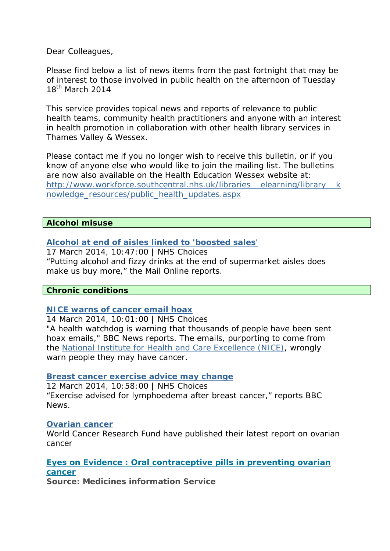Dear Colleagues,

Please find below a list of news items from the past fortnight that may be of interest to those involved in public health on the afternoon of Tuesday 18<sup>th</sup> March 2014

This service provides topical news and reports of relevance to public health teams, community health practitioners and anyone with an interest in health promotion in collaboration with other health library services in Thames Valley & Wessex.

Please contact me if you no longer wish to receive this bulletin, or if you know of anyone else who would like to join the mailing list. The bulletins are now also available on the Health Education Wessex website at: http://www.workforce.southcentral.nhs.uk/libraries\_elearning/library\_k [nowledge\\_resources/public\\_health\\_updates.aspx](http://www.workforce.southcentral.nhs.uk/libraries__elearning/library__knowledge_resources/public_health_updates.aspx)

#### **Alcohol misuse**

#### **[Alcohol at end of aisles linked to 'boosted sales'](http://www.nhs.uk/news/2014/03March/Pages/Alcohol-at-end-of-aisles-linked-to-boosted-sales.aspx)**

17 March 2014, 10:47:00 | NHS Choices "Putting alcohol and fizzy drinks at the end of supermarket aisles does make us buy more," the Mail Online reports.

#### **Chronic conditions**

#### **[NICE warns of cancer email hoax](http://www.nhs.uk/news/2014/03March/Pages/NICE-cancer-email-hoax-warning.aspx)**

14 March 2014, 10:01:00 | NHS Choices "A health watchdog is warning that thousands of people have been sent hoax emails," BBC News reports. The emails, purporting to come from the [National Institute for Health and Care Excellence \(NICE\)](http://www.nice.org.uk/), wrongly warn people they may have cancer.

#### **[Breast cancer exercise advice may change](http://www.nhs.uk/news/2014/03March/Pages/breast-cancer-lymphoedema-exercise-advice-may-change.aspx)**

12 March 2014, 10:58:00 | NHS Choices "Exercise advised for lymphoedema after breast cancer," reports BBC News.

#### **[Ovarian cancer](http://www.wcrf.org/cancer_research/cup/key_findings/ovarian_cancer.php)**

World Cancer Research Fund have published their latest report on ovarian cancer

**[Eyes on Evidence : Oral contraceptive pills in preventing ovarian](http://arms.evidence.nhs.uk/resources/hub/1033443/attachment)  [cancer](http://arms.evidence.nhs.uk/resources/hub/1033443/attachment)**

**Source: Medicines information Service**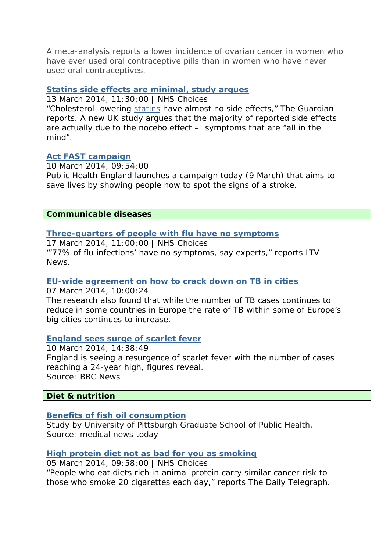A meta-analysis reports a lower incidence of ovarian cancer in women who have ever used oral contraceptive pills than in women who have never used oral contraceptives.

### **[Statins side effects are minimal, study argues](http://www.nhs.uk/news/2014/03March/Pages/Statins-side-effects-are-minimal-study-argues.aspx)**

13 March 2014, 11:30:00 | NHS Choices

"Cholesterol-lowering [statins](http://www.nhs.uk/conditions/Cholesterol-lowering-medicines-statins/Pages/Introduction.aspx) have almost no side effects," The Guardian reports. A new UK study argues that the majority of reported side effects are actually due to the nocebo effect – symptoms that are "all in the mind".

# **[Act FAST campaign](https://www.gov.uk/government/news/act-fast-campaign)**

10 March 2014, 09:54:00

Public Health England launches a campaign today (9 March) that aims to save lives by showing people how to spot the signs of a stroke.

#### **Communicable diseases**

### **[Three-quarters of people with flu have no symptoms](http://www.nhs.uk/news/2014/03March/Pages/Three-quarters-of-people-with-flu-have-no-symptoms.aspx)**

17 March 2014, 11:00:00 | NHS Choices "'77% of flu infections' have no symptoms, say experts," reports ITV News.

#### **[EU-wide agreement on how to crack down on TB in cities](https://www.gov.uk/government/news/eu-wide-agreement-on-how-to-crack-down-on-tb-in-cities)**

07 March 2014, 10:00:24

The research also found that while the number of TB cases continues to reduce in some countries in Europe the rate of TB within some of Europe's big cities continues to increase.

#### **[England sees surge of scarlet fever](http://www.bbc.co.uk/news/health-26518070#sa-ns_mchannel=rss&ns_source=PublicRSS20-sa)**

10 March 2014, 14:38:49 England is seeing a resurgence of scarlet fever with the number of cases reaching a 24-year high, figures reveal. Source: BBC News

# **Diet & nutrition**

# **[Benefits of fish oil consumption](http://www.medicalnewstoday.com/releases/273617.php)**

Study by University of Pittsburgh Graduate School of Public Health. Source: medical news today

#### **[High protein diet not as bad for you as smoking](http://www.nhs.uk/news/2014/03March/Pages/high-protein-diet-may-be-harmful-for-middle-aged.aspx)**

05 March 2014, 09:58:00 | NHS Choices "People who eat diets rich in animal protein carry similar cancer risk to those who smoke 20 cigarettes each day," reports The Daily Telegraph.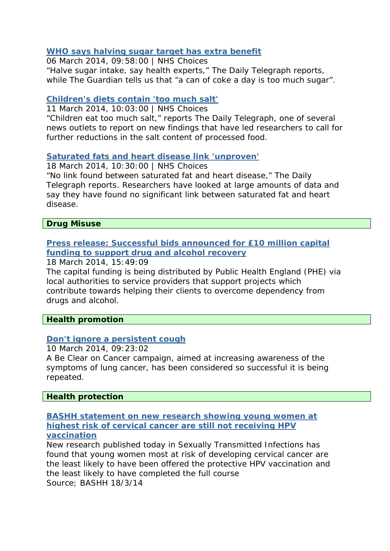# **[WHO says halving sugar target has extra benefit](http://www.nhs.uk/news/2014/03March/Pages/WHO-says-halving-sugar-target-has-extra-benefit.aspx)**

06 March 2014, 09:58:00 | NHS Choices "Halve sugar intake, say health experts," The Daily Telegraph reports, while The Guardian tells us that "a can of coke a day is too much sugar".

### **[Children's diets contain 'too much salt'](http://www.nhs.uk/news/2014/03March/Pages/Childrens-diets-contain-too-much-salt.aspx)**

11 March 2014, 10:03:00 | NHS Choices "Children eat too much salt," reports The Daily Telegraph, one of several news outlets to report on new findings that have led researchers to call for further reductions in the salt content of processed food.

# **[Saturated fats and heart disease link 'unproven'](http://www.nhs.uk/news/2014/03March/Pages/Saturated-fats-and-heart-disease-link-unproven.aspx)**

18 March 2014, 10:30:00 | NHS Choices

"No link found between saturated fat and heart disease," The Daily Telegraph reports. Researchers have looked at large amounts of data and say they have found no significant link between saturated fat and heart disease.

### **Drug Misuse**

# **[Press release: Successful bids announced for £10 million capital](https://www.gov.uk/government/news/successful-bids-announced-for-10-million-capital-funding-to-support-drug-and-alcohol-recovery)  [funding to support drug and alcohol recovery](https://www.gov.uk/government/news/successful-bids-announced-for-10-million-capital-funding-to-support-drug-and-alcohol-recovery)**

18 March 2014, 15:49:09

The capital funding is being distributed by Public Health England (PHE) via local authorities to service providers that support projects which contribute towards helping their clients to overcome dependency from drugs and alcohol.

**Health promotion** 

# **[Don't ignore a persistent cough](https://www.gov.uk/government/news/dont-ignore-a-persistent-cough)**

10 March 2014, 09:23:02

A Be Clear on Cancer campaign, aimed at increasing awareness of the symptoms of lung cancer, has been considered so successful it is being repeated.

# **Health protection**

#### **[BASHH statement on new research showing young women at](http://www.bashh.org/BASHH/News/BASHH/News/News_Items/New_research_showing_young_women_at_highest_risk_of_cervical_cancer_not_receiving_HPV_vaccination.aspx)  [highest risk of cervical cancer are still not receiving HPV](http://www.bashh.org/BASHH/News/BASHH/News/News_Items/New_research_showing_young_women_at_highest_risk_of_cervical_cancer_not_receiving_HPV_vaccination.aspx)  [vaccination](http://www.bashh.org/BASHH/News/BASHH/News/News_Items/New_research_showing_young_women_at_highest_risk_of_cervical_cancer_not_receiving_HPV_vaccination.aspx)**

New research published today in Sexually Transmitted Infections has found that young women most at risk of developing cervical cancer are the least likely to have been offered the protective HPV vaccination and the least likely to have completed the full course Source; BASHH 18/3/14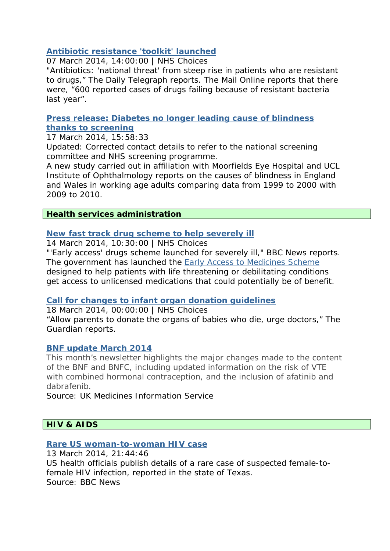# **[Antibiotic resistance 'toolkit' launched](http://www.nhs.uk/news/2014/03March/Pages/Antibiotic-resistance-toolkit-launched.aspx)**

07 March 2014, 14:00:00 | NHS Choices

"Antibiotics: 'national threat' from steep rise in patients who are resistant to drugs," The Daily Telegraph reports. The Mail Online reports that there were, "600 reported cases of drugs failing because of resistant bacteria last year".

**[Press release: Diabetes no longer leading cause of blindness](https://www.gov.uk/government/news/diabetes-no-longer-leading-cause-of-blindness-thanks-to-screening)  [thanks to screening](https://www.gov.uk/government/news/diabetes-no-longer-leading-cause-of-blindness-thanks-to-screening)**

17 March 2014, 15:58:33

*Updated:* Corrected contact details to refer to the national screening committee and NHS screening programme.

A new study carried out in affiliation with Moorfields Eye Hospital and UCL Institute of Ophthalmology reports on the causes of blindness in England and Wales in working age adults comparing data from 1999 to 2000 with 2009 to 2010.

# **Health services administration**

# **[New fast track drug scheme to help severely ill](http://www.nhs.uk/news/2014/03March/Pages/New-fast-track-drug-scheme-to-help-severely-ill.aspx)**

14 March 2014, 10:30:00 | NHS Choices

"'Early access' drugs scheme launched for severely ill," BBC News reports. The government has launched the [Early Access to Medicines Scheme](http://www.mhra.gov.uk/Howweregulate/Innovation/EarlieraccesstomedicinesschemeEAMS/index.htm) designed to help patients with life threatening or debilitating conditions get access to unlicensed medications that could potentially be of benefit.

# **[Call for changes to infant organ donation guidelines](http://www.nhs.uk/news/2014/03March/Pages/Call-for-changes-to-infant-organ-donation-guidelines.aspx)**

18 March 2014, 00:00:00 | NHS Choices

"Allow parents to donate the organs of babies who die, urge doctors," The Guardian reports.

# **[BNF update March 2014](http://www.pharmpress.com/mailouts/bnf/mar14/BNF_enewsletter.html)**

This month's newsletter highlights the major changes made to the content of the BNF and BNFC, including updated information on the risk of VTE with combined hormonal contraception, and the inclusion of afatinib and dabrafenib.

Source: UK Medicines Information Service

# **HIV & AIDS**

# **[Rare US woman-to-woman HIV case](http://www.bbc.co.uk/news/world-us-canada-26571161#sa-ns_mchannel=rss&ns_source=PublicRSS20-sa)**

13 March 2014, 21:44:46 US health officials publish details of a rare case of suspected female-tofemale HIV infection, reported in the state of Texas. Source: BBC News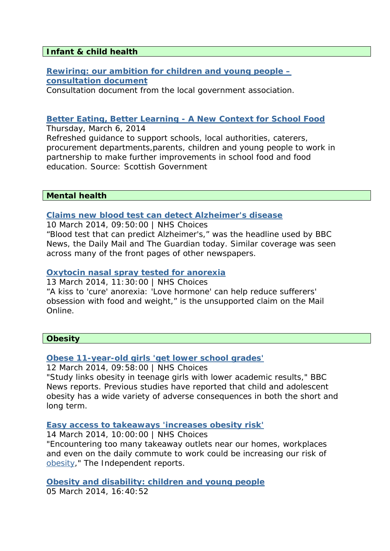### **Infant & child health**

**[Rewiring: our ambition for children and young people –](http://www.local.gov.uk/documents/10180/11431/Rewiring+-+Our+ambition+for+children+and+young+people/4b145c47-5c2f-4102-8119-b0309e785445) [consultation document](http://www.local.gov.uk/documents/10180/11431/Rewiring+-+Our+ambition+for+children+and+young+people/4b145c47-5c2f-4102-8119-b0309e785445)** 

Consultation document from the local government association.

### **[Better Eating, Better Learning - A New Context for School Food](http://www.scotland.gov.uk/Publications/2014/03/1606)**

Thursday, March 6, 2014 Refreshed guidance to support schools, local authorities, caterers, procurement departments,parents, children and young people to work in partnership to make further improvements in school food and food education. Source: Scottish Government

#### **Mental health**

#### **[Claims new blood test can detect Alzheimer's disease](http://www.nhs.uk/news/2014/03March/Pages/Claims-new-blood-test-can-detect-Alzheimers-disease.aspx)**

10 March 2014, 09:50:00 | NHS Choices "Blood test that can predict Alzheimer's," was the headline used by BBC News, the Daily Mail and The Guardian today. Similar coverage was seen across many of the front pages of other newspapers.

### **[Oxytocin nasal spray tested for anorexia](http://www.nhs.uk/news/2014/03March/Pages/Oxytocin-nasal-spray-tested-for-anorexia.aspx)**

13 March 2014, 11:30:00 | NHS Choices "A kiss to 'cure' anorexia: 'Love hormone' can help reduce sufferers' obsession with food and weight," is the unsupported claim on the Mail Online.

#### **Obesity**

# **[Obese 11-year-old girls 'get lower school grades'](http://www.nhs.uk/news/2014/03March/Pages/obese-11-year-old-girls-get-lower-school-grades.aspx)**

12 March 2014, 09:58:00 | NHS Choices

"Study links obesity in teenage girls with lower academic results," BBC News reports. Previous studies have reported that child and adolescent obesity has a wide variety of adverse consequences in both the short and long term.

#### **[Easy access to takeaways 'increases obesity risk'](http://www.nhs.uk/news/2014/03March/Pages/Living-and-working-near-takeaways-ups-obesity-risk.aspx)**

14 March 2014, 10:00:00 | NHS Choices

"Encountering too many takeaway outlets near our homes, workplaces and even on the daily commute to work could be increasing our risk of [obesity](http://www.nhs.uk/conditions/Obesity/Pages/Introduction.aspx)," The Independent reports.

**[Obesity and disability: children and young people](https://www.gov.uk/government/news/obesity-and-disability-children-and-young-people)** 05 March 2014, 16:40:52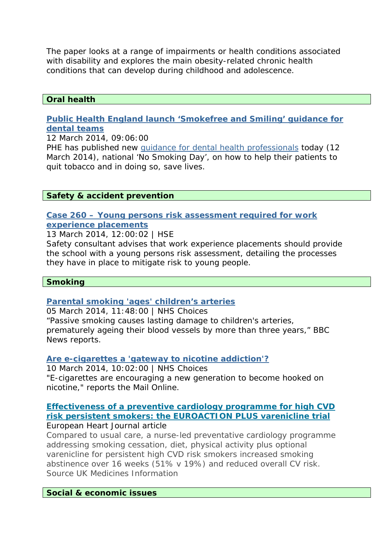The paper looks at a range of impairments or health conditions associated with disability and explores the main obesity-related chronic health conditions that can develop during childhood and adolescence.

### **Oral health**

### **[Public Health England launch 'Smokefree and Smiling' guidance for](https://www.gov.uk/government/news/public-health-england-launch-smokefree-and-smiling-guidance-for-dental-teams)  [dental teams](https://www.gov.uk/government/news/public-health-england-launch-smokefree-and-smiling-guidance-for-dental-teams)**

12 March 2014, 09:06:00

PHE has published new [guidance for dental health professionals](https://www.gov.uk/government/publications/smokefree-and-smiling) today (12 March 2014), national 'No Smoking Day', on how to help their patients to quit tobacco and in doing so, save lives.

### **Safety & accident prevention**

### **[Case 260 – Young persons risk assessment required for work](http://www.hse.gov.uk/myth/myth-busting/2014/case260-seperate-young-persons-risk-assesment.htm)  [experience placements](http://www.hse.gov.uk/myth/myth-busting/2014/case260-seperate-young-persons-risk-assesment.htm)**

13 March 2014, 12:00:02 | HSE

Safety consultant advises that work experience placements should provide the school with a young persons risk assessment, detailing the processes they have in place to mitigate risk to young people.

#### **Smoking**

# **[Parental smoking 'ages' children's arteries](http://www.nhs.uk/news/2014/03March/Pages/Parental-smoking-ages-childrens-arteries.aspx)**

05 March 2014, 11:48:00 | NHS Choices "Passive smoking causes lasting damage to children's arteries, prematurely ageing their blood vessels by more than three years," BBC News reports.

#### **[Are e-cigarettes a 'gateway to nicotine addiction'?](http://www.nhs.uk/news/2014/03March/Pages/e-cigarettes-gateway-nicotine-addiction.aspx)**

10 March 2014, 10:02:00 | NHS Choices "E-cigarettes are encouraging a new generation to become hooked on nicotine," reports the Mail Online.

#### **[Effectiveness of a preventive cardiology programme for high CVD](http://eurheartj.oxfordjournals.org/content/early/2014/03/09/eurheartj.ehu051.abstract)  [risk persistent smokers: the EUROACTION PLUS varenicline trial](http://eurheartj.oxfordjournals.org/content/early/2014/03/09/eurheartj.ehu051.abstract)** European Heart Journal article

Compared to usual care, a nurse-led preventative cardiology programme addressing smoking cessation, diet, physical activity plus optional varenicline for persistent high CVD risk smokers increased smoking abstinence over 16 weeks (51% v 19%) and reduced overall CV risk. Source UK Medicines Information

#### **Social & economic issues**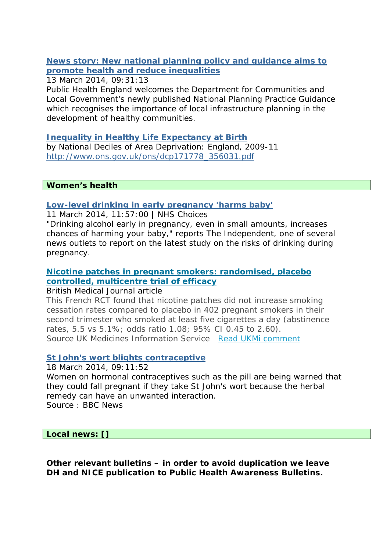# **[News story: New national planning policy and guidance aims to](https://www.gov.uk/government/news/new-national-planning-policy-and-guidance-aims-to-promote-health-and-reduce-inequalities)  [promote health and reduce inequalities](https://www.gov.uk/government/news/new-national-planning-policy-and-guidance-aims-to-promote-health-and-reduce-inequalities)**

13 March 2014, 09:31:13

Public Health England welcomes the Department for Communities and Local Government's newly published National Planning Practice Guidance which recognises the importance of local infrastructure planning in the development of healthy communities.

### **[Inequality in Healthy Life Expectancy at Birth](http://www.ons.gov.uk/ons/dcp171778_356031.pdf)**

by National Deciles of Area Deprivation: England, 2009-11 [http://www.ons.gov.uk/ons/dcp171778\\_356031.pdf](http://www.ons.gov.uk/ons/dcp171778_356031.pdf)

**Women's health** 

### **[Low-level drinking in early pregnancy 'harms baby'](http://www.nhs.uk/news/2014/03March/Pages/Low-level-drinking-in-early-pregnancy-can-harm-your-baby.aspx)**

11 March 2014, 11:57:00 | NHS Choices

"Drinking alcohol early in pregnancy, even in small amounts, increases chances of harming your baby," reports The Independent, one of several news outlets to report on the latest study on the risks of drinking during pregnancy.

# **[Nicotine patches in pregnant smokers: randomised, placebo](http://www.bmj.com/content/348/bmj.g1622)  [controlled, multicentre trial of efficacy](http://www.bmj.com/content/348/bmj.g1622)**

British Medical Journal article

This French RCT found that nicotine patches did not increase smoking cessation rates compared to placebo in 402 pregnant smokers in their second trimester who smoked at least five cigarettes a day (abstinence rates, 5.5 vs 5.1%; odds ratio 1.08; 95% CI 0.45 to 2.60). Source UK Medicines Information Service *[Read UKMi comment](http://www.medicinesresources.nhs.uk/en/Medicines-Awareness/Primary-Research/Randomised-controlled-trials/Nicotine-patches-in-pregnant-smokers-randomised-placebo-controlled-multicentre-trial-of-efficacy/)*

# **[St John's wort blights contraceptive](http://www.bbc.co.uk/news/health-26626499#sa-ns_mchannel=rss&ns_source=PublicRSS20-sa)**

#### 18 March 2014, 09:11:52

Women on hormonal contraceptives such as the pill are being warned that they could fall pregnant if they take St John's wort because the herbal remedy can have an unwanted interaction.

Source : BBC News

#### **Local news: []**

**Other relevant bulletins – in order to avoid duplication we leave DH and NICE publication to Public Health Awareness Bulletins.**